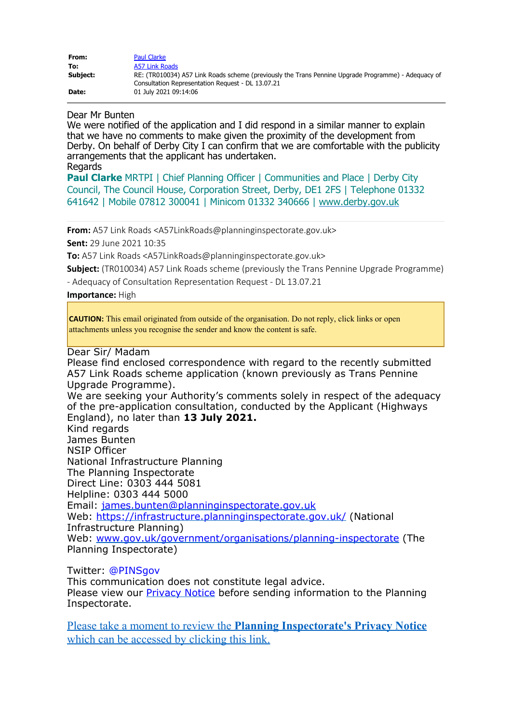| From:    | <b>Paul Clarke</b>                                                                                  |
|----------|-----------------------------------------------------------------------------------------------------|
| To:      | A57 Link Roads                                                                                      |
| Subject: | RE: (TR010034) A57 Link Roads scheme (previously the Trans Pennine Upgrade Programme) - Adequacy of |
|          | Consultation Representation Request - DL 13.07.21                                                   |
| Date:    | 01 July 2021 09:14:06                                                                               |

Dear Mr Bunten

We were notified of the application and I did respond in a similar manner to explain that we have no comments to make given the proximity of the development from Derby. On behalf of Derby City I can confirm that we are comfortable with the publicity arrangements that the applicant has undertaken.

**Regards** 

**Paul Clarke** MRTPI | Chief Planning Officer | Communities and Place | Derby City Council, The Council House, Corporation Street, Derby, DE1 2FS | Telephone 01332 641642 | Mobile 07812 300041 | Minicom 01332 340666 | [www.derby.gov.uk](https://gbr01.safelinks.protection.outlook.com/?url=http%3A%2F%2Fwww.derby.gov.uk%2F&data=04%7C01%7CA57LinkRoads%40planninginspectorate.gov.uk%7C54c329bf5c96454dbc5408d93c6830b9%7C5878df986f8848ab9322998ce557088d%7C0%7C0%7C637607240459660255%7CUnknown%7CTWFpbGZsb3d8eyJWIjoiMC4wLjAwMDAiLCJQIjoiV2luMzIiLCJBTiI6Ik1haWwiLCJXVCI6Mn0%3D%7C1000&sdata=sqdYUzEXOB93yRM93w4ZZPJNcszRSc4KYrGRpDhG%2F28%3D&reserved=0)

**From:** A57 Link Roads <A57LinkRoads@planninginspectorate.gov.uk>

**Sent:** 29 June 2021 10:35

**To:** A57 Link Roads <A57LinkRoads@planninginspectorate.gov.uk>

**Subject:** (TR010034) A57 Link Roads scheme (previously the Trans Pennine Upgrade Programme)

- Adequacy of Consultation Representation Request - DL 13.07.21

**Importance:** High

**CAUTION:** This email originated from outside of the organisation. Do not reply, click links or open attachments unless you recognise the sender and know the content is safe.

Dear Sir/ Madam

Please find enclosed correspondence with regard to the recently submitted A57 Link Roads scheme application (known previously as Trans Pennine Upgrade Programme).

We are seeking your Authority's comments solely in respect of the adequacy of the pre-application consultation, conducted by the Applicant (Highways England), no later than **13 July 2021.**

Kind regards James Bunten NSIP Officer National Infrastructure Planning The Planning Inspectorate Direct Line: 0303 444 5081 Helpline: 0303 444 5000 Email: [james.bunten@planninginspectorate.gov.uk](mailto:james.bunten@planninginspectorate.gov.uk) Web: <https://infrastructure.planninginspectorate.gov.uk/> (National Infrastructure Planning) Web: [www.gov.uk/government/organisations/planning-inspectorate](https://gbr01.safelinks.protection.outlook.com/?url=http%3A%2F%2Fwww.gov.uk%2Fgovernment%2Forganisations%2Fplanning-inspectorate&data=04%7C01%7CA57LinkRoads%40planninginspectorate.gov.uk%7C54c329bf5c96454dbc5408d93c6830b9%7C5878df986f8848ab9322998ce557088d%7C0%7C0%7C637607240459660255%7CUnknown%7CTWFpbGZsb3d8eyJWIjoiMC4wLjAwMDAiLCJQIjoiV2luMzIiLCJBTiI6Ik1haWwiLCJXVCI6Mn0%3D%7C1000&sdata=5horIe8loUZec7yk1vpJx91LhpngpkabnV4PHm5eV%2Fk%3D&reserved=0) (The Planning Inspectorate)

Twitter: @PINSgov

This communication does not constitute legal advice. Please view our **Privacy Notice** before sending information to the Planning Inspectorate.

Please take a moment to review the **[Planning Inspectorate's Privacy Notice](https://gbr01.safelinks.protection.outlook.com/?url=https%3A%2F%2Fwww.gov.uk%2Fgovernment%2Fpublications%2Fplanning-inspectorate-privacy-notices&data=04%7C01%7CA57LinkRoads%40planninginspectorate.gov.uk%7C54c329bf5c96454dbc5408d93c6830b9%7C5878df986f8848ab9322998ce557088d%7C0%7C0%7C637607240459680243%7CUnknown%7CTWFpbGZsb3d8eyJWIjoiMC4wLjAwMDAiLCJQIjoiV2luMzIiLCJBTiI6Ik1haWwiLCJXVCI6Mn0%3D%7C1000&sdata=NHDzUhBc4OYnq6WIPA9DXoWB61EelJ04Q6ijj0yNiL0%3D&reserved=0)** [which can be accessed by clicking this link.](https://gbr01.safelinks.protection.outlook.com/?url=https%3A%2F%2Fwww.gov.uk%2Fgovernment%2Fpublications%2Fplanning-inspectorate-privacy-notices&data=04%7C01%7CA57LinkRoads%40planninginspectorate.gov.uk%7C54c329bf5c96454dbc5408d93c6830b9%7C5878df986f8848ab9322998ce557088d%7C0%7C0%7C637607240459680243%7CUnknown%7CTWFpbGZsb3d8eyJWIjoiMC4wLjAwMDAiLCJQIjoiV2luMzIiLCJBTiI6Ik1haWwiLCJXVCI6Mn0%3D%7C1000&sdata=NHDzUhBc4OYnq6WIPA9DXoWB61EelJ04Q6ijj0yNiL0%3D&reserved=0)